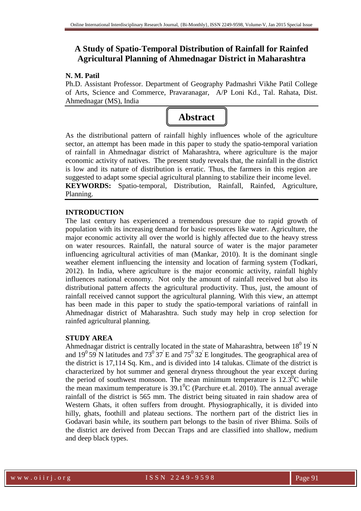# **A Study of Spatio-Temporal Distribution of Rainfall for Rainfed Agricultural Planning of Ahmednagar District in Maharashtra**

### **N. M. Patil**

Ph.D. Assistant Professor. Department of Geography Padmashri Vikhe Patil College of Arts, Science and Commerce, Pravaranagar, A/P Loni Kd., Tal. Rahata, Dist. Ahmednagar (MS), India



As the distributional pattern of rainfall highly influences whole of the agriculture sector, an attempt has been made in this paper to study the spatio-temporal variation of rainfall in Ahmednagar district of Maharashtra, where agriculture is the major economic activity of natives. The present study reveals that, the rainfall in the district is low and its nature of distribution is erratic. Thus, the farmers in this region are suggested to adapt some special agricultural planning to stabilize their income level. **KEYWORDS:** Spatio-temporal, Distribution, Rainfall, Rainfed, Agriculture, Planning.

# **INTRODUCTION**

The last century has experienced a tremendous pressure due to rapid growth of population with its increasing demand for basic resources like water. Agriculture, the major economic activity all over the world is highly affected due to the heavy stress on water resources. Rainfall, the natural source of water is the major parameter influencing agricultural activities of man (Mankar, 2010). It is the dominant single weather element influencing the intensity and location of farming system (Todkari, 2012). In India, where agriculture is the major economic activity, rainfall highly influences national economy. Not only the amount of rainfall received but also its distributional pattern affects the agricultural productivity. Thus, just, the amount of rainfall received cannot support the agricultural planning. With this view, an attempt has been made in this paper to study the spatio-temporal variations of rainfall in Ahmednagar district of Maharashtra. Such study may help in crop selection for rainfed agricultural planning.

### **STUDY AREA**

Ahmednagar district is centrally located in the state of Maharashtra, between  $18^019'N$ and  $19^{\circ}59'$  N latitudes and  $73^{\circ}37'$  E and  $75^{\circ}32'$  E longitudes. The geographical area of the district is 17,114 Sq. Km., and is divided into 14 talukas. Climate of the district is characterized by hot summer and general dryness throughout the year except during the period of southwest monsoon. The mean minimum temperature is  $12.3^{\circ}$ C while the mean maximum temperature is  $39.1^{\circ}$ C (Parchure et.al. 2010). The annual average rainfall of the district is 565 mm. The district being situated in rain shadow area of Western Ghats, it often suffers from drought. Physiographically, it is divided into hilly, ghats, foothill and plateau sections. The northern part of the district lies in Godavari basin while, its southern part belongs to the basin of river Bhima. Soils of the district are derived from Deccan Traps and are classified into shallow, medium and deep black types.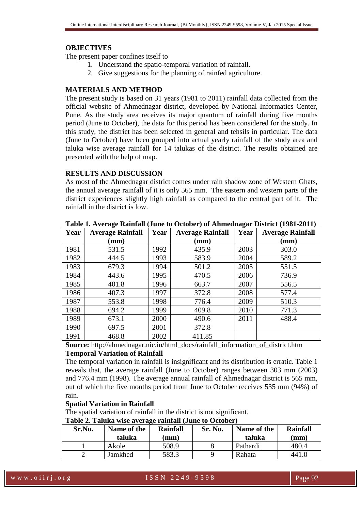#### **OBJECTIVES**

The present paper confines itself to

- 1. Understand the spatio-temporal variation of rainfall.
- 2. Give suggestions for the planning of rainfed agriculture.

### **MATERIALS AND METHOD**

The present study is based on 31 years (1981 to 2011) rainfall data collected from the official website of Ahmednagar district, developed by National Informatics Center, Pune. As the study area receives its major quantum of rainfall during five months period (June to October), the data for this period has been considered for the study. In this study, the district has been selected in general and tehsils in particular. The data (June to October) have been grouped into actual yearly rainfall of the study area and taluka wise average rainfall for 14 talukas of the district. The results obtained are presented with the help of map.

#### **RESULTS AND DISCUSSION**

As most of the Ahmednagar district comes under rain shadow zone of Western Ghats, the annual average rainfall of it is only 565 mm. The eastern and western parts of the district experiences slightly high rainfall as compared to the central part of it. The rainfall in the district is low.

| Year | <b>Average Rainfall</b> | Year | <b>Average Rainfall</b> | Year | <b>Average Rainfall</b> |
|------|-------------------------|------|-------------------------|------|-------------------------|
|      | $(\mathbf{mm})$         |      | (mm)                    |      | $(\mathbf{mm})$         |
| 1981 | 531.5                   | 1992 | 435.9                   | 2003 | 303.0                   |
| 1982 | 444.5                   | 1993 | 583.9                   | 2004 | 589.2                   |
| 1983 | 679.3                   | 1994 | 501.2                   | 2005 | 551.5                   |
| 1984 | 443.6                   | 1995 | 470.5                   | 2006 | 736.9                   |
| 1985 | 401.8                   | 1996 | 663.7                   | 2007 | 556.5                   |
| 1986 | 407.3                   | 1997 | 372.8                   | 2008 | 577.4                   |
| 1987 | 553.8                   | 1998 | 776.4                   | 2009 | 510.3                   |
| 1988 | 694.2                   | 1999 | 409.8                   | 2010 | 771.3                   |
| 1989 | 673.1                   | 2000 | 490.6                   | 2011 | 488.4                   |
| 1990 | 697.5                   | 2001 | 372.8                   |      |                         |
| 1991 | 468.8                   | 2002 | 411.85                  |      |                         |

**Table 1. Average Rainfall (June to October) of Ahmednagar District (1981-2011)** 

**Source:** http://ahmednagar.nic.in/html\_docs/rainfall\_information\_of\_district.htm

### **Temporal Variation of Rainfall**

The temporal variation in rainfall is insignificant and its distribution is erratic. Table 1 reveals that, the average rainfall (June to October) ranges between 303 mm (2003) and 776.4 mm (1998). The average annual rainfall of Ahmednagar district is 565 mm, out of which the five months period from June to October receives 535 mm (94%) of rain.

### **Spatial Variation in Rainfall**

The spatial variation of rainfall in the district is not significant.

**Table 2. Taluka wise average rainfall (June to October)** 

| Sr.No. | Name of the<br>taluka | Rainfall<br>mm) | Sr. No. | Name of the<br>taluka | Rainfall<br>$(\mathbf{mm})$ |
|--------|-----------------------|-----------------|---------|-----------------------|-----------------------------|
|        | Akole                 | 508.9           |         | Pathardi              | 480.4                       |
|        | Jamkhed               | 583.3           |         | Rahata                | 441.0                       |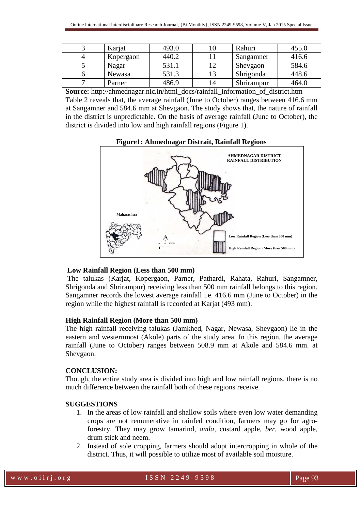| Karjat        | 493.0 |    | Rahuri     | 455.0 |
|---------------|-------|----|------------|-------|
| Kopergaon     | 440.2 |    | Sangamner  | 416.6 |
| Nagar         | 531.1 |    | Shevgaon   | 584.6 |
| <b>Newasa</b> | 531.3 |    | Shrigonda  | 448.6 |
| Parner        | 486.9 | 14 | Shrirampur | 464.0 |

**Source:** http://ahmednagar.nic.in/html\_docs/rainfall\_information\_of\_district.htm Table 2 reveals that, the average rainfall (June to October) ranges between 416.6 mm at Sangamner and 584.6 mm at Shevgaon. The study shows that, the nature of rainfall in the district is unpredictable. On the basis of average rainfall (June to October), the district is divided into low and high rainfall regions (Figure 1).



### **Low Rainfall Region (Less than 500 mm)**

The talukas (Karjat, Kopergaon, Parner, Pathardi, Rahata, Rahuri, Sangamner, Shrigonda and Shrirampur) receiving less than 500 mm rainfall belongs to this region. Sangamner records the lowest average rainfall i.e. 416.6 mm (June to October) in the region while the highest rainfall is recorded at Karjat (493 mm).

### **High Rainfall Region (More than 500 mm)**

The high rainfall receiving talukas (Jamkhed, Nagar, Newasa, Shevgaon) lie in the eastern and westernmost (Akole) parts of the study area. In this region, the average rainfall (June to October) ranges between 508.9 mm at Akole and 584.6 mm. at Shevgaon.

### **CONCLUSION:**

Though, the entire study area is divided into high and low rainfall regions, there is no much difference between the rainfall both of these regions receive.

# **SUGGESTIONS**

- 1. In the areas of low rainfall and shallow soils where even low water demanding crops are not remunerative in rainfed condition, farmers may go for agroforestry. They may grow tamarind, *amla*, custard apple, *ber*, wood apple, drum stick and neem.
- 2. Instead of sole cropping, farmers should adopt intercropping in whole of the district. Thus, it will possible to utilize most of available soil moisture.